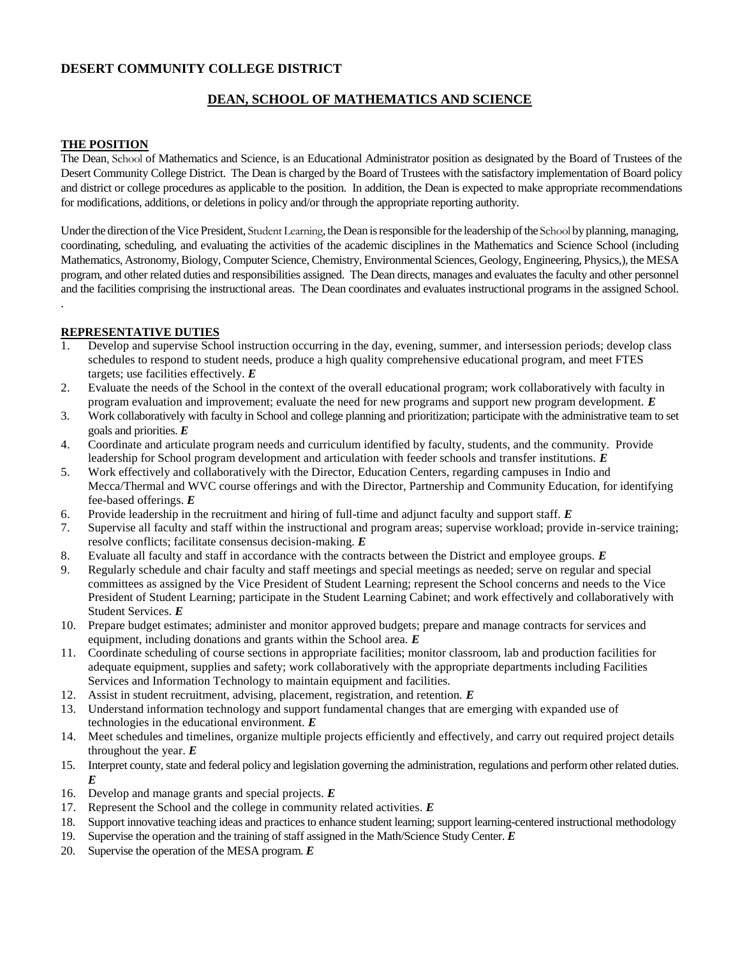# **DESERT COMMUNITY COLLEGE DISTRICT**

# **DEAN, SCHOOL OF MATHEMATICS AND SCIENCE**

### **THE POSITION**

.

The Dean, School of Mathematics and Science, is an Educational Administrator position as designated by the Board of Trustees of the Desert Community College District. The Dean is charged by the Board of Trustees with the satisfactory implementation of Board policy and district or college procedures as applicable to the position. In addition, the Dean is expected to make appropriate recommendations for modifications, additions, or deletions in policy and/or through the appropriate reporting authority.

Under the direction of the Vice President, Student Learning, the Dean is responsible for the leadership of the School by planning, managing, coordinating, scheduling, and evaluating the activities of the academic disciplines in the Mathematics and Science School (including Mathematics, Astronomy, Biology, Computer Science, Chemistry, Environmental Sciences, Geology, Engineering, Physics,), the MESA program, and other related duties and responsibilities assigned. The Dean directs, manages and evaluates the faculty and other personnel and the facilities comprising the instructional areas. The Dean coordinates and evaluates instructional programs in the assigned School.

## **REPRESENTATIVE DUTIES**

- Develop and supervise School instruction occurring in the day, evening, summer, and intersession periods; develop class schedules to respond to student needs, produce a high quality comprehensive educational program, and meet FTES targets; use facilities effectively. *E*
- 2. Evaluate the needs of the School in the context of the overall educational program; work collaboratively with faculty in program evaluation and improvement; evaluate the need for new programs and support new program development. *E*
- 3. Work collaboratively with faculty in School and college planning and prioritization; participate with the administrative team to set goals and priorities. *E*
- 4. Coordinate and articulate program needs and curriculum identified by faculty, students, and the community. Provide leadership for School program development and articulation with feeder schools and transfer institutions. *E*
- 5. Work effectively and collaboratively with the Director, Education Centers, regarding campuses in Indio and Mecca/Thermal and WVC course offerings and with the Director, Partnership and Community Education, for identifying fee-based offerings. *E*
- 6. Provide leadership in the recruitment and hiring of full-time and adjunct faculty and support staff. *E*
- 7. Supervise all faculty and staff within the instructional and program areas; supervise workload; provide in-service training; resolve conflicts; facilitate consensus decision-making. *E*
- 8. Evaluate all faculty and staff in accordance with the contracts between the District and employee groups. *E*
- 9. Regularly schedule and chair faculty and staff meetings and special meetings as needed; serve on regular and special committees as assigned by the Vice President of Student Learning; represent the School concerns and needs to the Vice President of Student Learning; participate in the Student Learning Cabinet; and work effectively and collaboratively with Student Services. *E*
- 10. Prepare budget estimates; administer and monitor approved budgets; prepare and manage contracts for services and equipment, including donations and grants within the School area. *E*
- 11. Coordinate scheduling of course sections in appropriate facilities; monitor classroom, lab and production facilities for adequate equipment, supplies and safety; work collaboratively with the appropriate departments including Facilities Services and Information Technology to maintain equipment and facilities.
- 12. Assist in student recruitment, advising, placement, registration, and retention. *E*
- 13. Understand information technology and support fundamental changes that are emerging with expanded use of technologies in the educational environment. *E*
- 14. Meet schedules and timelines, organize multiple projects efficiently and effectively, and carry out required project details throughout the year. *E*
- 15. Interpret county, state and federal policy and legislation governing the administration, regulations and perform other related duties. *E*
- 16. Develop and manage grants and special projects. *E*
- 17. Represent the School and the college in community related activities. *E*
- 18. Support innovative teaching ideas and practices to enhance student learning; support learning-centered instructional methodology
- 19. Supervise the operation and the training of staff assigned in the Math/Science Study Center. *E*
- 20. Supervise the operation of the MESA program. *E*